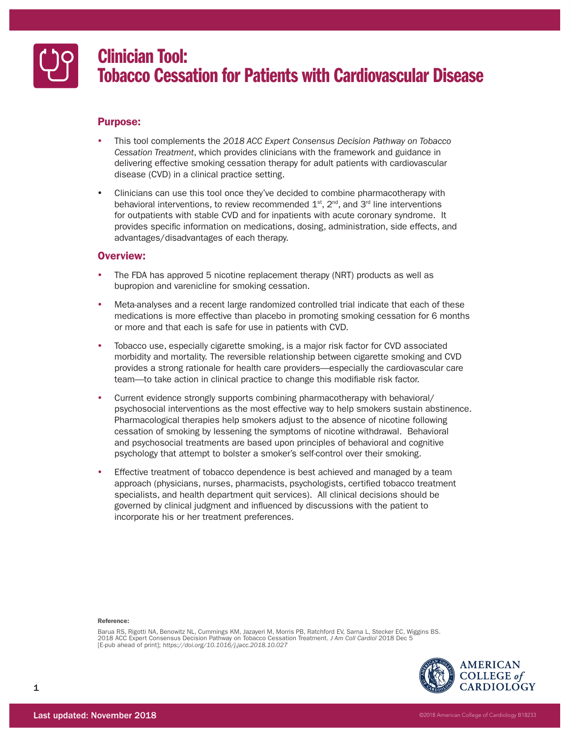

# Clinician Tool: Tobacco Cessation for Patients with Cardiovascular Disease

# Purpose:

- y This tool complements the *2018 ACC Expert Consensus Decision Pathway on Tobacco Cessation Treatment*, which provides clinicians with the framework and guidance in delivering effective smoking cessation therapy for adult patients with cardiovascular disease (CVD) in a clinical practice setting.
- Clinicians can use this tool once they've decided to combine pharmacotherapy with behavioral interventions, to review recommended  $1<sup>st</sup>$ ,  $2<sup>nd</sup>$ , and  $3<sup>rd</sup>$  line interventions for outpatients with stable CVD and for inpatients with acute coronary syndrome. It provides specific information on medications, dosing, administration, side effects, and advantages/disadvantages of each therapy.

# Overview:

- The FDA has approved 5 nicotine replacement therapy (NRT) products as well as bupropion and varenicline for smoking cessation.
- Meta-analyses and a recent large randomized controlled trial indicate that each of these medications is more effective than placebo in promoting smoking cessation for 6 months or more and that each is safe for use in patients with CVD.
- Tobacco use, especially cigarette smoking, is a major risk factor for CVD associated morbidity and mortality. The reversible relationship between cigarette smoking and CVD provides a strong rationale for health care providers—especially the cardiovascular care team—to take action in clinical practice to change this modifiable risk factor.
- Current evidence strongly supports combining pharmacotherapy with behavioral/ psychosocial interventions as the most effective way to help smokers sustain abstinence. Pharmacological therapies help smokers adjust to the absence of nicotine following cessation of smoking by lessening the symptoms of nicotine withdrawal. Behavioral and psychosocial treatments are based upon principles of behavioral and cognitive psychology that attempt to bolster a smoker's self-control over their smoking.
- Effective treatment of tobacco dependence is best achieved and managed by a team approach (physicians, nurses, pharmacists, psychologists, certified tobacco treatment specialists, and health department quit services). All clinical decisions should be governed by clinical judgment and influenced by discussions with the patient to incorporate his or her treatment preferences.

# Reference:

Barua RS, Rigotti NA, Benowitz NL, Cummings KM, Jazayeri M, Morris PB, Ratchford EV, Sarna L, Stecker EC, Wiggins BS. 2018 ACC Expert Consensus Decision Pathway on Tobacco Cessation Treatment. *J Am Coll Cardiol* 2018 Dec 5 [E-pub ahead of print]; *https://doi.org/10.1016/j.jacc.2018.10.027*

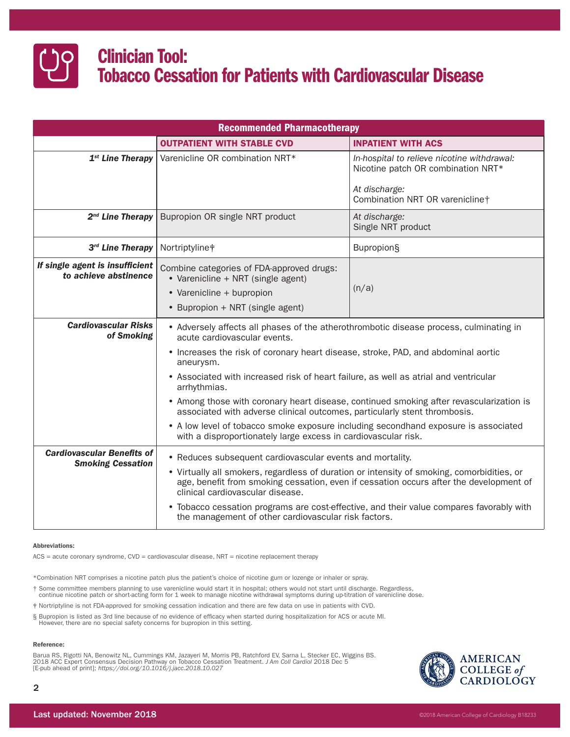

| <b>Recommended Pharmacotherapy</b>                            |                                                                                                                                                                                                                                                                                                                                                                                                                                           |                                                                                                                                       |  |  |  |  |
|---------------------------------------------------------------|-------------------------------------------------------------------------------------------------------------------------------------------------------------------------------------------------------------------------------------------------------------------------------------------------------------------------------------------------------------------------------------------------------------------------------------------|---------------------------------------------------------------------------------------------------------------------------------------|--|--|--|--|
|                                                               | <b>OUTPATIENT WITH STABLE CVD</b>                                                                                                                                                                                                                                                                                                                                                                                                         | <b>INPATIENT WITH ACS</b>                                                                                                             |  |  |  |  |
| 1 <sup>st</sup> Line Therapy                                  | Varenicline OR combination NRT*                                                                                                                                                                                                                                                                                                                                                                                                           | In-hospital to relieve nicotine withdrawal:<br>Nicotine patch OR combination NRT*<br>At discharge:<br>Combination NRT OR varenicline† |  |  |  |  |
| $2^{nd}$ Line Therapy                                         | Bupropion OR single NRT product                                                                                                                                                                                                                                                                                                                                                                                                           | At discharge:<br>Single NRT product                                                                                                   |  |  |  |  |
| 3rd Line Therapy                                              | Nortriptyline <sup>#</sup>                                                                                                                                                                                                                                                                                                                                                                                                                | <b>Bupropion</b> §                                                                                                                    |  |  |  |  |
| If single agent is insufficient<br>to achieve abstinence      | Combine categories of FDA-approved drugs:<br>• Varenicline + NRT (single agent)<br>• Varenicline + bupropion<br>• Bupropion + NRT (single agent)                                                                                                                                                                                                                                                                                          | (n/a)                                                                                                                                 |  |  |  |  |
| <b>Cardiovascular Risks</b><br>of Smoking                     | acute cardiovascular events.                                                                                                                                                                                                                                                                                                                                                                                                              | • Adversely affects all phases of the atherothrombotic disease process, culminating in                                                |  |  |  |  |
|                                                               | • Increases the risk of coronary heart disease, stroke, PAD, and abdominal aortic<br>aneurysm.                                                                                                                                                                                                                                                                                                                                            |                                                                                                                                       |  |  |  |  |
|                                                               | arrhythmias.                                                                                                                                                                                                                                                                                                                                                                                                                              | • Associated with increased risk of heart failure, as well as atrial and ventricular                                                  |  |  |  |  |
|                                                               | • Among those with coronary heart disease, continued smoking after revascularization is<br>associated with adverse clinical outcomes, particularly stent thrombosis.                                                                                                                                                                                                                                                                      |                                                                                                                                       |  |  |  |  |
|                                                               | • A low level of tobacco smoke exposure including secondhand exposure is associated<br>with a disproportionately large excess in cardiovascular risk.                                                                                                                                                                                                                                                                                     |                                                                                                                                       |  |  |  |  |
| <b>Cardiovascular Benefits of</b><br><b>Smoking Cessation</b> | • Reduces subsequent cardiovascular events and mortality.<br>• Virtually all smokers, regardless of duration or intensity of smoking, comorbidities, or<br>age, benefit from smoking cessation, even if cessation occurs after the development of<br>clinical cardiovascular disease.<br>• Tobacco cessation programs are cost-effective, and their value compares favorably with<br>the management of other cardiovascular risk factors. |                                                                                                                                       |  |  |  |  |
|                                                               |                                                                                                                                                                                                                                                                                                                                                                                                                                           |                                                                                                                                       |  |  |  |  |

# Abbreviations:

ACS = acute coronary syndrome, CVD = cardiovascular disease, NRT = nicotine replacement therapy

\*Combination NRT comprises a nicotine patch plus the patient's choice of nicotine gum or lozenge or inhaler or spray.

† Some committee members planning to use varenicline would start it in hospital; others would not start until discharge. Regardless,<br>continue nicotine patch or short-acting form for 1 week to manage nicotine withdrawal sym

‡ Nortriptyline is not FDA-approved for smoking cessation indication and there are few data on use in patients with CVD.

§ Bupropion is listed as 3rd line because of no evidence of efficacy when started during hospitalization for ACS or acute MI. However, there are no special safety concerns for bupropion in this setting.

#### Reference:

Barua RS, Rigotti NA, Benowitz NL, Cummings KM, Jazayeri M, Morris PB, Ratchford EV, Sarna L, Stecker EC, Wiggins BS.<br>2018 ACC Expert Consensus Decision Pathway on Tobacco Cessation Treatment. *J Am Coll Cardiol 2*018 Dec [E-pub ahead of print]; *https://doi.org/10.1016/j.jacc.2018.10.027*

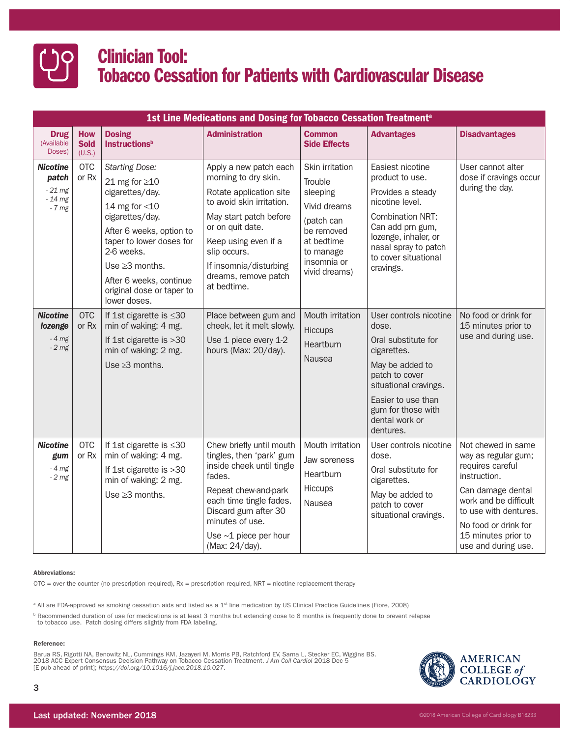

| 1st Line Medications and Dosing for Tobacco Cessation Treatment <sup>a</sup> |                                     |                                                                                                                                                                                                                                                                              |                                                                                                                                                                                                                                                               |                                                                                                                                               |                                                                                                                                                                                                                 |                                                                                                                                                                                                                            |  |  |  |
|------------------------------------------------------------------------------|-------------------------------------|------------------------------------------------------------------------------------------------------------------------------------------------------------------------------------------------------------------------------------------------------------------------------|---------------------------------------------------------------------------------------------------------------------------------------------------------------------------------------------------------------------------------------------------------------|-----------------------------------------------------------------------------------------------------------------------------------------------|-----------------------------------------------------------------------------------------------------------------------------------------------------------------------------------------------------------------|----------------------------------------------------------------------------------------------------------------------------------------------------------------------------------------------------------------------------|--|--|--|
| <b>Drug</b><br>(Available<br>Doses)                                          | <b>How</b><br><b>Sold</b><br>(U.S.) | <b>Dosing</b><br><b>Instructions</b> <sup>b</sup>                                                                                                                                                                                                                            | <b>Administration</b>                                                                                                                                                                                                                                         | <b>Common</b><br><b>Side Effects</b>                                                                                                          | <b>Advantages</b>                                                                                                                                                                                               | <b>Disadvantages</b>                                                                                                                                                                                                       |  |  |  |
| <b>Nicotine</b><br>patch<br>$-21$ mg<br>$-14$ mg<br>$-7$ mg                  | <b>OTC</b><br>or Rx                 | <b>Starting Dose:</b><br>21 mg for $\geq$ 10<br>cigarettes/day.<br>14 mg for $<$ 10<br>cigarettes/day.<br>After 6 weeks, option to<br>taper to lower doses for<br>2-6 weeks.<br>Use $\geq$ 3 months.<br>After 6 weeks, continue<br>original dose or taper to<br>lower doses. | Apply a new patch each<br>morning to dry skin.<br>Rotate application site<br>to avoid skin irritation.<br>May start patch before<br>or on quit date.<br>Keep using even if a<br>slip occurs.<br>If insomnia/disturbing<br>dreams, remove patch<br>at bedtime. | Skin irritation<br>Trouble<br>sleeping<br>Vivid dreams<br>(patch can<br>be removed<br>at bedtime<br>to manage<br>insomnia or<br>vivid dreams) | Easiest nicotine<br>product to use.<br>Provides a steady<br>nicotine level.<br><b>Combination NRT:</b><br>Can add prn gum,<br>lozenge, inhaler, or<br>nasal spray to patch<br>to cover situational<br>cravings. | User cannot alter<br>dose if cravings occur<br>during the day.                                                                                                                                                             |  |  |  |
| <b>Nicotine</b><br>lozenge<br>$-4$ mg<br>$-2$ mg                             | <b>OTC</b><br>or Rx                 | If 1st cigarette is $\leq 30$<br>min of waking: 4 mg.<br>If 1st cigarette is >30<br>min of waking: 2 mg.<br>Use $\geq 3$ months.                                                                                                                                             | Place between gum and<br>cheek, let it melt slowly.<br>Use 1 piece every 1-2<br>hours (Max: 20/day).                                                                                                                                                          | Mouth irritation<br>Hiccups<br><b>Heartburn</b><br>Nausea                                                                                     | User controls nicotine<br>dose.<br>Oral substitute for<br>cigarettes.<br>May be added to<br>patch to cover<br>situational cravings.<br>Easier to use than<br>gum for those with<br>dental work or<br>dentures.  | No food or drink for<br>15 minutes prior to<br>use and during use.                                                                                                                                                         |  |  |  |
| <b>Nicotine</b><br>gum<br>$-4$ mg<br>$-2$ mg                                 | <b>OTC</b><br>or Rx                 | If 1st cigarette is $\leq 30$<br>min of waking: 4 mg.<br>If 1st cigarette is >30<br>min of waking: 2 mg.<br>Use $\geq$ 3 months.                                                                                                                                             | Chew briefly until mouth<br>tingles, then 'park' gum<br>inside cheek until tingle<br>fades.<br>Repeat chew-and-park<br>each time tingle fades.<br>Discard gum after 30<br>minutes of use.<br>Use $~1$ piece per hour<br>(Max: 24/day).                        | Mouth irritation<br>Jaw soreness<br>Heartburn<br>Hiccups<br>Nausea                                                                            | User controls nicotine<br>dose.<br>Oral substitute for<br>cigarettes.<br>May be added to<br>patch to cover<br>situational cravings.                                                                             | Not chewed in same<br>way as regular gum;<br>requires careful<br>instruction.<br>Can damage dental<br>work and be difficult<br>to use with dentures.<br>No food or drink for<br>15 minutes prior to<br>use and during use. |  |  |  |

# Abbreviations:

 $OTC$  = over the counter (no prescription required),  $Rx$  = prescription required,  $NRT$  = nicotine replacement therapy

<sup>a</sup> All are FDA-approved as smoking cessation aids and listed as a 1<sup>st</sup> line medication by US Clinical Practice Guidelines (Fiore, 2008)

<sup>b</sup> Recommended duration of use for medications is at least 3 months but extending dose to 6 months is frequently done to prevent relapse<br>to tobacco use. Patch dosing differs slightly from FDA labeling.

# Reference:

Barua RS, Rigotti NA, Benowitz NL, Cummings KM, Jazayeri M, Morris PB, Ratchford EV, Sarna L, Stecker EC, Wiggins BS.<br>2018 ACC Expert Consensus Decision Pathway on Tobacco Cessation Treatment. *J Am Coll Cardiol 2*018 Dec [E-pub ahead of print]; *https://doi.org/10.1016/j.jacc.2018.10.027*.



3